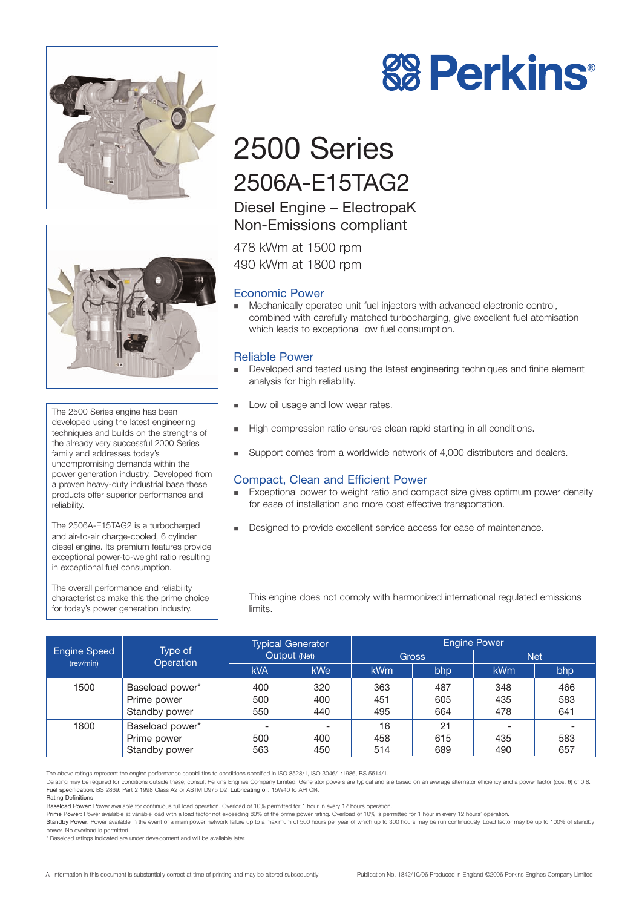



The 2500 Series engine has been developed using the latest engineering techniques and builds on the strengths of the already very successful 2000 Series family and addresses today's uncompromising demands within the power generation industry. Developed from a proven heavy-duty industrial base these products offer superior performance and reliability.

The 2506A-E15TAG2 is a turbocharged and air-to-air charge-cooled, 6 cylinder diesel engine. Its premium features provide exceptional power-to-weight ratio resulting in exceptional fuel consumption.

The overall performance and reliability characteristics make this the prime choice for today's power generation industry.



# 2500 Series 2506A-E15TAG2

## Diesel Engine – ElectropaK Non-Emissions compliant

478 kWm at 1500 rpm 490 kWm at 1800 rpm

## Economic Power

- Mechanically operated unit fuel injectors with advanced electronic control, combined with carefully matched turbocharging, give excellent fuel atomisation which leads to exceptional low fuel consumption.

## Reliable Power

- - Developed and tested using the latest engineering techniques and finite element analysis for high reliability.
- -Low oil usage and low wear rates.
- -High compression ratio ensures clean rapid starting in all conditions.
- -Support comes from a worldwide network of 4,000 distributors and dealers.

## Compact, Clean and Efficient Power

- - Exceptional power to weight ratio and compact size gives optimum power density for ease of installation and more cost effective transportation.
- -Designed to provide excellent service access for ease of maintenance.

This engine does not comply with harmonized international regulated emissions limits.

| Engine Speed<br>(rev/min) | Type of<br>Operation                            | <b>Typical Generator</b><br>Output (Net) |                   | <b>Engine Power</b> |                   |                   |                   |
|---------------------------|-------------------------------------------------|------------------------------------------|-------------------|---------------------|-------------------|-------------------|-------------------|
|                           |                                                 |                                          |                   | <b>Gross</b>        |                   | <b>Net</b>        |                   |
|                           |                                                 | <b>kVA</b>                               | <b>kWe</b>        | kW <sub>m</sub>     | bhp               | <b>kWm</b>        | bhp               |
| 1500                      | Baseload power*<br>Prime power<br>Standby power | 400<br>500<br>550                        | 320<br>400<br>440 | 363<br>451<br>495   | 487<br>605<br>664 | 348<br>435<br>478 | 466<br>583<br>641 |
| 1800                      | Baseload power*<br>Prime power<br>Standby power | 500<br>563                               | 400<br>450        | 16<br>458<br>514    | 21<br>615<br>689  | 435<br>490        | 583<br>657        |

The above ratings represent the engine performance capabilities to conditions specified in ISO 8528/1, ISO 3046/1:1986, BS 5514/1.

Derating may be required for conditions outside these; consult Perkins Engines Company Limited. Generator powers are typical and are based on an average alternator efficiency and a power factor (cos. θ) of 0.8. Fuel specification: BS 2869: Part 2 1998 Class A2 or ASTM D975 D2. Lubricating oil: 15W40 to API CI4.

Rating Definitions

Prime Power: Power available at variable load with a load factor not exceeding 80% of the prime power rating. Overload of 10% is permitted for 1 hour in every 12 hours' operation. Standby Power: Power available in the event of a main power network failure up to a maximum of 500 hours per year of which up to 300 hours may be run continuously. Load factor may be up to 100% of standby

power. No overload is permitted.

Baseload ratings indicated are under development and will be available later

Baseload Power: Power available for continuous full load operation. Overload of 10% permitted for 1 hour in every 12 hours operation.